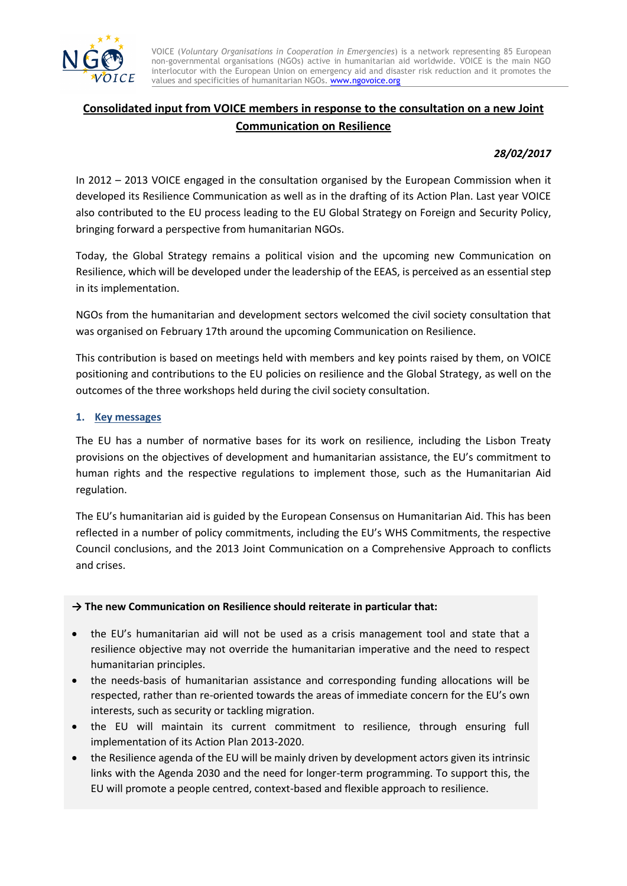

VOICE (*Voluntary Organisations in Cooperation in Emergencies*) is a network representing 85 European non-governmental organisations (NGOs) active in humanitarian aid worldwide. VOICE is the main NGO interlocutor with the European Union on emergency aid and disaster risk reduction and it promotes the values and specificities of humanitarian NGOs[. www.ngovoice.org](http://www.ngovoice.org/)

# **Consolidated input from VOICE members in response to the consultation on a new Joint Communication on Resilience**

## *28/02/2017*

In 2012 – 2013 VOICE engaged in the consultation organised by the European Commission when it developed its Resilience Communication as well as in the drafting of its Action Plan. Last year VOICE also contributed to the EU process leading to the EU Global Strategy on Foreign and Security Policy, bringing forward a perspective from humanitarian NGOs.

Today, the Global Strategy remains a political vision and the upcoming new Communication on Resilience, which will be developed under the leadership of the EEAS, is perceived as an essential step in its implementation.

NGOs from the humanitarian and development sectors welcomed the civil society consultation that was organised on February 17th around the upcoming Communication on Resilience.

This contribution is based on meetings held with members and key points raised by them, on VOICE positioning and contributions to the EU policies on resilience and the Global Strategy, as well on the outcomes of the three workshops held during the civil society consultation.

### **1. Key messages**

The EU has a number of normative bases for its work on resilience, including the Lisbon Treaty provisions on the objectives of development and humanitarian assistance, the EU's commitment to human rights and the respective regulations to implement those, such as the Humanitarian Aid regulation.

The EU's humanitarian aid is guided by the European Consensus on Humanitarian Aid. This has been reflected in a number of policy commitments, including the EU's WHS Commitments, the respective Council conclusions, and the 2013 Joint Communication on a Comprehensive Approach to conflicts and crises.

## **→ The new Communication on Resilience should reiterate in particular that:**

- the EU's humanitarian aid will not be used as a crisis management tool and state that a resilience objective may not override the humanitarian imperative and the need to respect humanitarian principles.
- the needs-basis of humanitarian assistance and corresponding funding allocations will be respected, rather than re-oriented towards the areas of immediate concern for the EU's own interests, such as security or tackling migration.
- the EU will maintain its current commitment to resilience, through ensuring full implementation of its Action Plan 2013-2020.
- the Resilience agenda of the EU will be mainly driven by development actors given its intrinsic links with the Agenda 2030 and the need for longer-term programming. To support this, the EU will promote a people centred, context-based and flexible approach to resilience.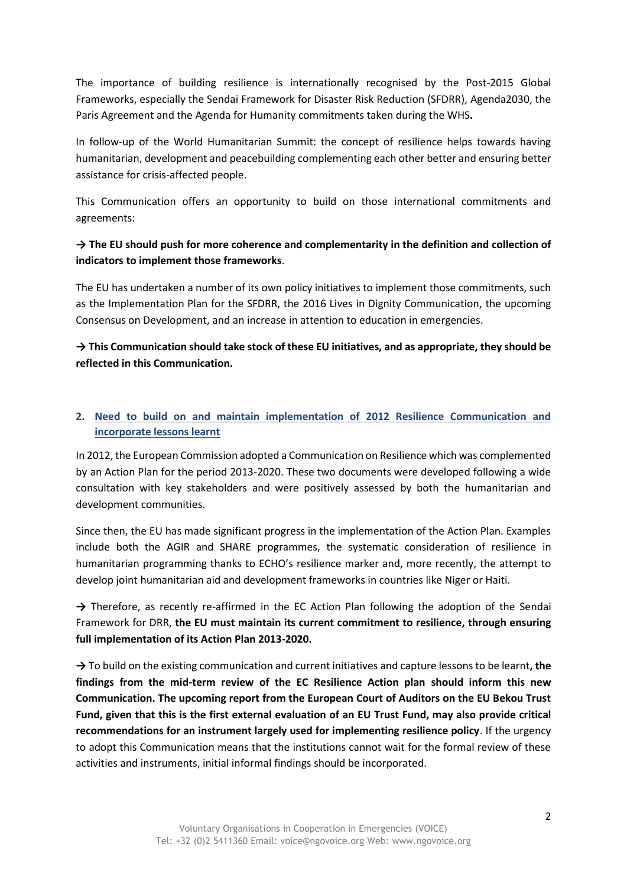The importance of building resilience is internationally recognised by the Post-2015 Global Frameworks, especially the Sendai Framework for Disaster Risk Reduction (SFDRR), Agenda2030, the Paris Agreement and the Agenda for Humanity commitments taken during the WHS**.**

In follow-up of the World Humanitarian Summit: the concept of resilience helps towards having humanitarian, development and peacebuilding complementing each other better and ensuring better assistance for crisis-affected people.

This Communication offers an opportunity to build on those international commitments and agreements:

# **→ The EU should push for more coherence and complementarity in the definition and collection of indicators to implement those frameworks**.

The EU has undertaken a number of its own policy initiatives to implement those commitments, such as the Implementation Plan for the SFDRR, the 2016 Lives in Dignity Communication, the upcoming Consensus on Development, and an increase in attention to education in emergencies.

**→ This Communication should take stock of these EU initiatives, and as appropriate, they should be reflected in this Communication.** 

# **2. Need to build on and maintain implementation of 2012 Resilience Communication and incorporate lessons learnt**

In 2012, the European Commission adopted a Communication on Resilience which was complemented by an Action Plan for the period 2013-2020. These two documents were developed following a wide consultation with key stakeholders and were positively assessed by both the humanitarian and development communities.

Since then, the EU has made significant progress in the implementation of the Action Plan. Examples include both the AGIR and SHARE programmes, the systematic consideration of resilience in humanitarian programming thanks to ECHO's resilience marker and, more recently, the attempt to develop joint humanitarian aid and development frameworks in countries like Niger or Haiti.

→ Therefore, as recently re-affirmed in the EC Action Plan following the adoption of the Sendai Framework for DRR, **the EU must maintain its current commitment to resilience, through ensuring full implementation of its Action Plan 2013-2020.**

**→** To build on the existing communication and current initiatives and capture lessons to be learnt**, the findings from the mid-term review of the EC Resilience Action plan should inform this new Communication. The upcoming report from the European Court of Auditors on the EU Bekou Trust Fund, given that this is the first external evaluation of an EU Trust Fund, may also provide critical recommendations for an instrument largely used for implementing resilience policy**. If the urgency to adopt this Communication means that the institutions cannot wait for the formal review of these activities and instruments, initial informal findings should be incorporated.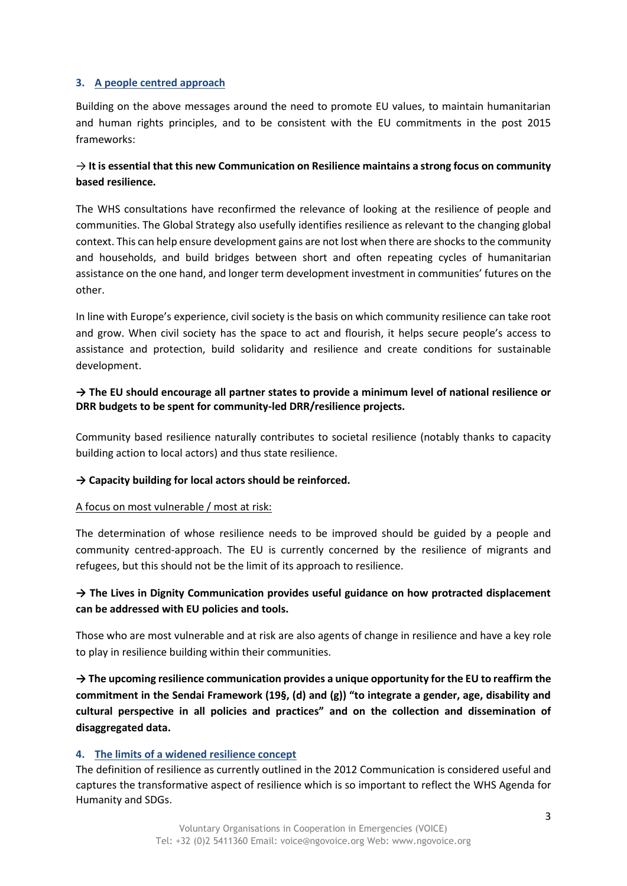#### **3. A people centred approach**

Building on the above messages around the need to promote EU values, to maintain humanitarian and human rights principles, and to be consistent with the EU commitments in the post 2015 frameworks:

# → **It is essential that this new Communication on Resilience maintains a strong focus on community based resilience.**

The WHS consultations have reconfirmed the relevance of looking at the resilience of people and communities. The Global Strategy also usefully identifies resilience as relevant to the changing global context. This can help ensure development gains are not lost when there are shocks to the community and households, and build bridges between short and often repeating cycles of humanitarian assistance on the one hand, and longer term development investment in communities' futures on the other.

In line with Europe's experience, civil society is the basis on which community resilience can take root and grow. When civil society has the space to act and flourish, it helps secure people's access to assistance and protection, build solidarity and resilience and create conditions for sustainable development.

## **→ The EU should encourage all partner states to provide a minimum level of national resilience or DRR budgets to be spent for community-led DRR/resilience projects.**

Community based resilience naturally contributes to societal resilience (notably thanks to capacity building action to local actors) and thus state resilience.

#### **→ Capacity building for local actors should be reinforced.**

#### A focus on most vulnerable / most at risk:

The determination of whose resilience needs to be improved should be guided by a people and community centred-approach. The EU is currently concerned by the resilience of migrants and refugees, but this should not be the limit of its approach to resilience.

# **→ The Lives in Dignity Communication provides useful guidance on how protracted displacement can be addressed with EU policies and tools.**

Those who are most vulnerable and at risk are also agents of change in resilience and have a key role to play in resilience building within their communities.

**→ The upcoming resilience communication provides a unique opportunity for the EU to reaffirm the commitment in the Sendai Framework (19§, (d) and (g)) "to integrate a gender, age, disability and cultural perspective in all policies and practices" and on the collection and dissemination of disaggregated data.**

#### **4. The limits of a widened resilience concept**

The definition of resilience as currently outlined in the 2012 Communication is considered useful and captures the transformative aspect of resilience which is so important to reflect the WHS Agenda for Humanity and SDGs.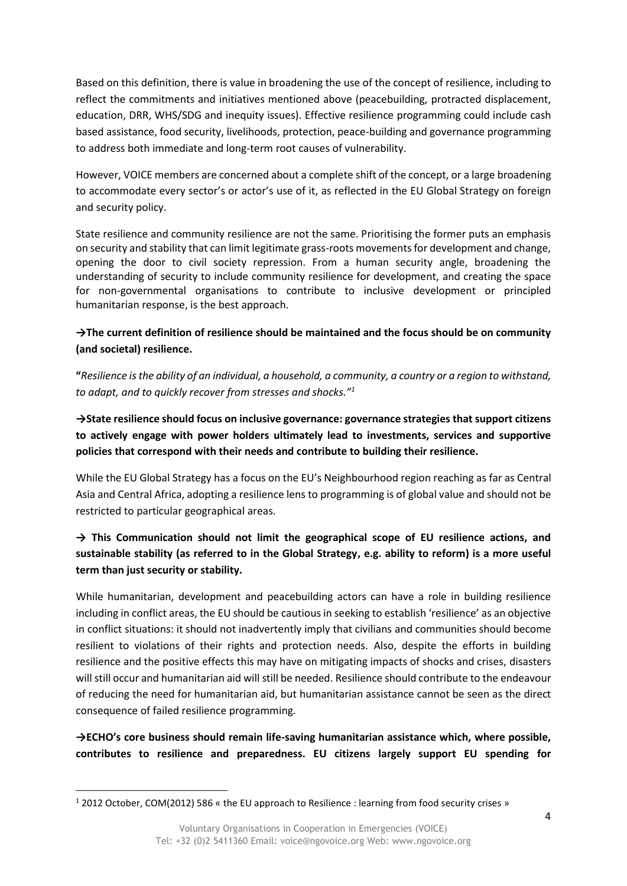Based on this definition, there is value in broadening the use of the concept of resilience, including to reflect the commitments and initiatives mentioned above (peacebuilding, protracted displacement, education, DRR, WHS/SDG and inequity issues). Effective resilience programming could include cash based assistance, food security, livelihoods, protection, peace-building and governance programming to address both immediate and long-term root causes of vulnerability.

However, VOICE members are concerned about a complete shift of the concept, or a large broadening to accommodate every sector's or actor's use of it, as reflected in the EU Global Strategy on foreign and security policy.

State resilience and community resilience are not the same. Prioritising the former puts an emphasis on security and stability that can limit legitimate grass-roots movements for development and change, opening the door to civil society repression. From a human security angle, broadening the understanding of security to include community resilience for development, and creating the space for non-governmental organisations to contribute to inclusive development or principled humanitarian response, is the best approach.

# **→The current definition of resilience should be maintained and the focus should be on community (and societal) resilience.**

**"***Resilience is the ability of an individual, a household, a community, a country or a region to withstand, to adapt, and to quickly recover from stresses and shocks."<sup>1</sup>*

**→State resilience should focus on inclusive governance: governance strategies that support citizens to actively engage with power holders ultimately lead to investments, services and supportive policies that correspond with their needs and contribute to building their resilience.**

While the EU Global Strategy has a focus on the EU's Neighbourhood region reaching as far as Central Asia and Central Africa, adopting a resilience lens to programming is of global value and should not be restricted to particular geographical areas.

# **→ This Communication should not limit the geographical scope of EU resilience actions, and sustainable stability (as referred to in the Global Strategy, e.g. ability to reform) is a more useful term than just security or stability.**

While humanitarian, development and peacebuilding actors can have a role in building resilience including in conflict areas, the EU should be cautious in seeking to establish 'resilience' as an objective in conflict situations: it should not inadvertently imply that civilians and communities should become resilient to violations of their rights and protection needs. Also, despite the efforts in building resilience and the positive effects this may have on mitigating impacts of shocks and crises, disasters will still occur and humanitarian aid will still be needed. Resilience should contribute to the endeavour of reducing the need for humanitarian aid, but humanitarian assistance cannot be seen as the direct consequence of failed resilience programming.

**→ECHO's core business should remain life-saving humanitarian assistance which, where possible, contributes to resilience and preparedness. EU citizens largely support EU spending for** 

 $\overline{a}$ 

<sup>1</sup> 2012 October, COM(2012) 586 « the EU approach to Resilience : learning from food security crises »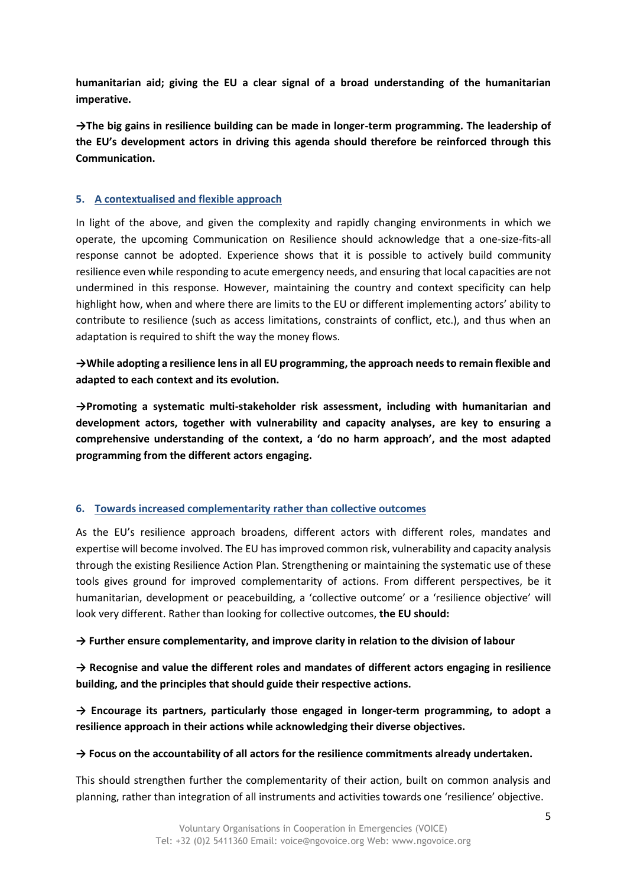**humanitarian aid; giving the EU a clear signal of a broad understanding of the humanitarian imperative.**

**→The big gains in resilience building can be made in longer-term programming. The leadership of the EU's development actors in driving this agenda should therefore be reinforced through this Communication.** 

## **5. A contextualised and flexible approach**

In light of the above, and given the complexity and rapidly changing environments in which we operate, the upcoming Communication on Resilience should acknowledge that a one-size-fits-all response cannot be adopted. Experience shows that it is possible to actively build community resilience even while responding to acute emergency needs, and ensuring that local capacities are not undermined in this response. However, maintaining the country and context specificity can help highlight how, when and where there are limits to the EU or different implementing actors' ability to contribute to resilience (such as access limitations, constraints of conflict, etc.), and thus when an adaptation is required to shift the way the money flows.

**→While adopting a resilience lens in all EU programming, the approach needs to remain flexible and adapted to each context and its evolution.** 

**→Promoting a systematic multi-stakeholder risk assessment, including with humanitarian and development actors, together with vulnerability and capacity analyses, are key to ensuring a comprehensive understanding of the context, a 'do no harm approach', and the most adapted programming from the different actors engaging.** 

## **6. Towards increased complementarity rather than collective outcomes**

As the EU's resilience approach broadens, different actors with different roles, mandates and expertise will become involved. The EU has improved common risk, vulnerability and capacity analysis through the existing Resilience Action Plan. Strengthening or maintaining the systematic use of these tools gives ground for improved complementarity of actions. From different perspectives, be it humanitarian, development or peacebuilding, a 'collective outcome' or a 'resilience objective' will look very different. Rather than looking for collective outcomes, **the EU should:** 

## **→ Further ensure complementarity, and improve clarity in relation to the division of labour**

**→ Recognise and value the different roles and mandates of different actors engaging in resilience building, and the principles that should guide their respective actions.** 

**→ Encourage its partners, particularly those engaged in longer-term programming, to adopt a resilience approach in their actions while acknowledging their diverse objectives.**

## **→ Focus on the accountability of all actors for the resilience commitments already undertaken.**

This should strengthen further the complementarity of their action, built on common analysis and planning, rather than integration of all instruments and activities towards one 'resilience' objective.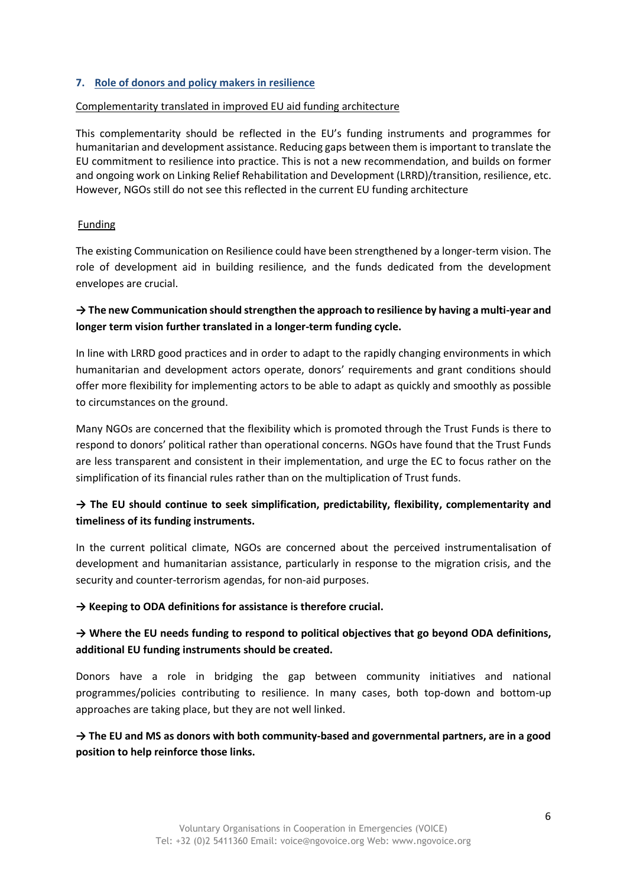#### **7. Role of donors and policy makers in resilience**

#### Complementarity translated in improved EU aid funding architecture

This complementarity should be reflected in the EU's funding instruments and programmes for humanitarian and development assistance. Reducing gaps between them is important to translate the EU commitment to resilience into practice. This is not a new recommendation, and builds on former and ongoing work on Linking Relief Rehabilitation and Development (LRRD)/transition, resilience, etc. However, NGOs still do not see this reflected in the current EU funding architecture

#### Funding

The existing Communication on Resilience could have been strengthened by a longer-term vision. The role of development aid in building resilience, and the funds dedicated from the development envelopes are crucial.

# **→ The new Communication should strengthen the approach to resilience by having a multi-year and longer term vision further translated in a longer-term funding cycle.**

In line with LRRD good practices and in order to adapt to the rapidly changing environments in which humanitarian and development actors operate, donors' requirements and grant conditions should offer more flexibility for implementing actors to be able to adapt as quickly and smoothly as possible to circumstances on the ground.

Many NGOs are concerned that the flexibility which is promoted through the Trust Funds is there to respond to donors' political rather than operational concerns. NGOs have found that the Trust Funds are less transparent and consistent in their implementation, and urge the EC to focus rather on the simplification of its financial rules rather than on the multiplication of Trust funds.

# **→ The EU should continue to seek simplification, predictability, flexibility, complementarity and timeliness of its funding instruments.**

In the current political climate, NGOs are concerned about the perceived instrumentalisation of development and humanitarian assistance, particularly in response to the migration crisis, and the security and counter-terrorism agendas, for non-aid purposes.

#### **→ Keeping to ODA definitions for assistance is therefore crucial.**

# **→ Where the EU needs funding to respond to political objectives that go beyond ODA definitions, additional EU funding instruments should be created.**

Donors have a role in bridging the gap between community initiatives and national programmes/policies contributing to resilience. In many cases, both top-down and bottom-up approaches are taking place, but they are not well linked.

# **→ The EU and MS as donors with both community-based and governmental partners, are in a good position to help reinforce those links.**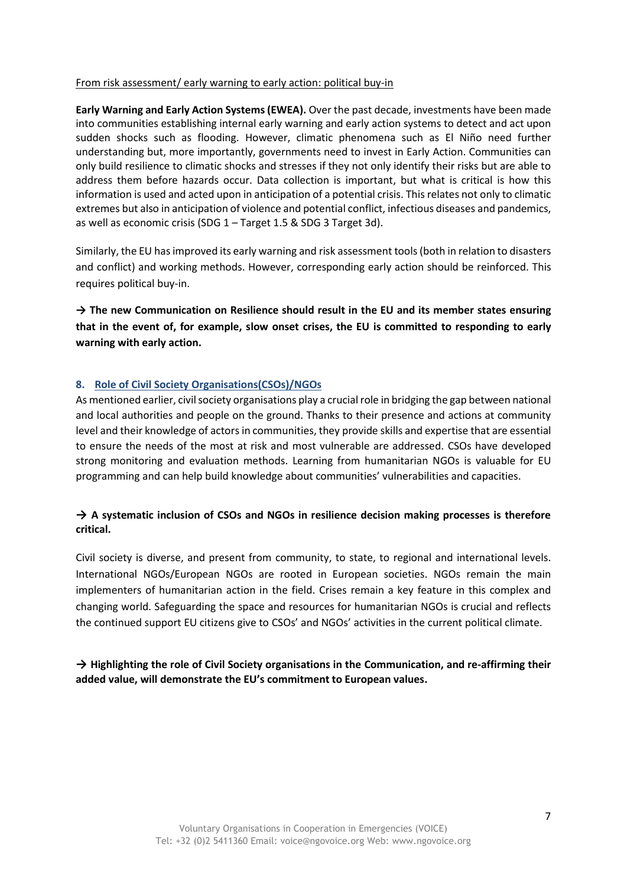#### From risk assessment/ early warning to early action: political buy-in

**Early Warning and Early Action Systems (EWEA).** Over the past decade, investments have been made into communities establishing internal early warning and early action systems to detect and act upon sudden shocks such as flooding. However, climatic phenomena such as El Niño need further understanding but, more importantly, governments need to invest in Early Action. Communities can only build resilience to climatic shocks and stresses if they not only identify their risks but are able to address them before hazards occur. Data collection is important, but what is critical is how this information is used and acted upon in anticipation of a potential crisis. This relates not only to climatic extremes but also in anticipation of violence and potential conflict, infectious diseases and pandemics, as well as economic crisis (SDG 1 – Target 1.5 & SDG 3 Target 3d).

Similarly, the EU has improved its early warning and risk assessment tools (both in relation to disasters and conflict) and working methods. However, corresponding early action should be reinforced. This requires political buy-in.

**→ The new Communication on Resilience should result in the EU and its member states ensuring that in the event of, for example, slow onset crises, the EU is committed to responding to early warning with early action.** 

## **8. Role of Civil Society Organisations(CSOs)/NGOs**

As mentioned earlier, civil society organisations play a crucial role in bridging the gap between national and local authorities and people on the ground. Thanks to their presence and actions at community level and their knowledge of actors in communities, they provide skills and expertise that are essential to ensure the needs of the most at risk and most vulnerable are addressed. CSOs have developed strong monitoring and evaluation methods. Learning from humanitarian NGOs is valuable for EU programming and can help build knowledge about communities' vulnerabilities and capacities.

# **→ A systematic inclusion of CSOs and NGOs in resilience decision making processes is therefore critical.**

Civil society is diverse, and present from community, to state, to regional and international levels. International NGOs/European NGOs are rooted in European societies. NGOs remain the main implementers of humanitarian action in the field. Crises remain a key feature in this complex and changing world. Safeguarding the space and resources for humanitarian NGOs is crucial and reflects the continued support EU citizens give to CSOs' and NGOs' activities in the current political climate.

# **→ Highlighting the role of Civil Society organisations in the Communication, and re-affirming their added value, will demonstrate the EU's commitment to European values.**